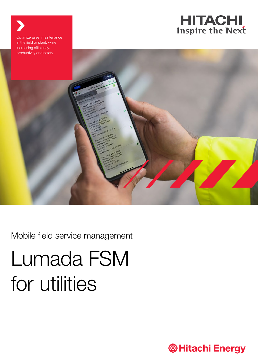

Optimize asset maintenance in the field or plant, while increasing efficiency, productivity and safety

Mobile field service management

# Lumada FSM for utilities

**@Hitachi Energy**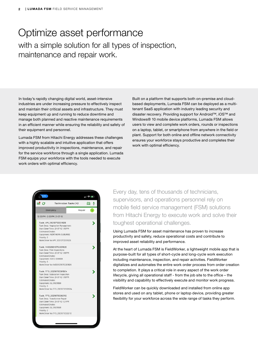### Optimize asset performance with a simple solution for all types of inspection, maintenance and repair work.

In today's rapidly changing digital world, asset-intensive industries are under increasing pressure to effectively inspect and maintain their critical assets and infrastructure. They must keep equipment up and running to reduce downtime and manage both planned and reactive maintenance requirements in an efficient manner while ensuring the reliability and safety of their equipment and personnel.

Lumada FSM from Hitachi Energy addresses these challenges with a highly scalable and intuitive application that offers improved productivity in inspections, maintenance, and repair for the service workforce through a single application. Lumada FSM equips your workforce with the tools needed to execute work orders with optimal efficiency.

Built on a platform that supports both on-premise and cloudbased deployments, Lumada FSM can be deployed as a multitenant SaaS application with industry leading security and disaster recovery. Providing support for Android™, iOS™ and Windows® 10 mobile device platforms, Lumada FSM allows users to view and complete work orders, rounds or inspections on a laptop, tablet, or smartphone from anywhere in the field or plant. Support for both online and offline network connectivity ensures your workforce stays productive and completes their work with optimal efficiency.

| :21                                     |                                                                                                                                                                     |         | $\blacksquare$ $\blacksquare$ $\blacksquare$ |
|-----------------------------------------|---------------------------------------------------------------------------------------------------------------------------------------------------------------------|---------|----------------------------------------------|
| ≢ е                                     | <b>Technician Tasks (4)</b>                                                                                                                                         |         | 岡                                            |
|                                         | Emergency                                                                                                                                                           | Regular |                                              |
|                                         | 12:00 PM - 2:00 PM, 21-07-12                                                                                                                                        |         |                                              |
| <b>Estimated Onsite:</b><br>Priority: 3 | Task: VM_20210712201626<br>Task Desc: Vegetation Management<br>Start Date/Time: 21-07-12 1:16 PM<br>Equipment: NORTHERN SUBURBS<br>Work Order No: VM_20210712201626 |         |                                              |
| <b>Estimated Onsite:</b><br>Priority: 3 | Task: 140020210712201826<br>Task Desc: Pole Inspections<br>Start Date/Time: 21-07-12 1:18 PM<br>Equipment: SOEC-006608<br>Work Order No:140020210712201826          |         |                                              |
| <b>Estimated Onsite:</b><br>Priority: 3 | Task: TFS_20210712201924<br>Task Desc: Substation Inspection<br>Start Date/Time: 21-07-12 1:19 PM<br>Equipment: GLD1629568<br>Work Order No: TFS_20210712201924     |         |                                              |
| <b>Estimated Onsite:</b><br>Priority: 2 | Task: TFS_20210712202112<br>Task Desc: Transformer Repair<br>Start Date/Time: 21-07-12 1:21 PM<br>Equipment: GLD1629568<br>Work Order No: TFS_20210712202112        |         |                                              |

Every day, tens of thousands of technicians, supervisors, and operations personnel rely on mobile field service management (FSM) solutions from Hitachi Energy to execute work and solve their toughest operational challenges.

Using Lumada FSM for asset maintenance has proven to increase productivity and safety, reduce operational costs and contribute to improved asset reliability and performance.

At the heart of Lumada FSM is FieldWorker, a lightweight mobile app that is purpose-built for all types of short-cycle and long-cycle work execution including maintenance, inspection, and repair activities. FieldWorker digitalizes and automates the entire work order process from order creation to completion. It plays a critical role in every aspect of the work order lifecycle, giving all operational staff - from the job site to the office – the visibility and capability to effectively execute and monitor work progress.

FieldWorker can be quickly downloaded and installed from online app stores and used on any tablet, phone or laptop device, providing greater flexibility for your workforce across the wide range of tasks they perform.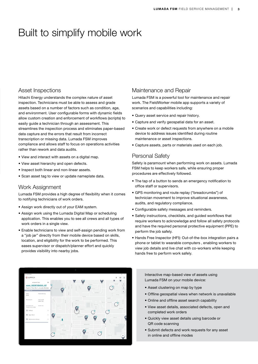## Built to simplify mobile work

#### Asset Inspections

Hitachi Energy understands the complex nature of asset inspection. Technicians must be able to assess and grade assets based on a number of factors such as condition, age, and environment. User configurable forms with dynamic fields allow custom creation and enforcement of workflows (scripts) to easily guide a technician through an assessment. This streamlines the inspection process and eliminates paper-based data capture and the errors that result from incorrect transcription or missing data. Lumada FSM improves compliance and allows staff to focus on operations activities rather than rework and data audits.

- View and interact with assets on a digital map.
- View asset hierarchy and open defects.
- Inspect both linear and non-linear assets.
- Scan asset tag to view or update nameplate data.

#### Work Assignment

**OLUMADA** 

asset 1625871056555 437

Lumada FSM provides a high degree of flexibility when it comes to notifying technicians of work orders.

- Assign work directly out of your EAM system.
- Assign work using the Lumada Digital Map or scheduling application. This enables you to see all crews and all types of work orders in a single view.
- Enable technicians to view and self-assign pending work from a "job jar" directly from their mobile device based on skills, location, and eligibility for the work to be performed. This eases supervisor or dispatch/planner effort and quickly provides visibility into nearby jobs.

#### Maintenance and Repair

Lumada FSM is a powerful tool for maintenance and repair work. The FieldWorker mobile app supports a variety of scenarios and capabilities including:

- Query asset service and repair history.
- Capture and verify geospatial data for an asset.
- Create work or defect requests from anywhere on a mobile device to address issues identified during routine maintenance or asset inspections.
- Capture assets, parts or materials used on each job.

#### Personal Safety

Safety is paramount when performing work on assets. Lumada FSM helps to keep workers safe, while ensuring proper procedures are effectively followed.

- The tap of a button to sends an emergency notification to office staff or supervisors.
- GPS monitoring and route replay ("breadcrumbs") of technician movement to improve situational awareness, audits, and regulatory compliance.
- Configurable safety messages and reminders.
- Safety instructions, checklists, and guided workflows that require workers to acknowledge and follow all safety protocols and have the required personal protective equipment (PPE) to perform the job safely.
- Hands Free Inspector (HFI): Out-of-the-box integration pairs a phone or tablet to wearable computers , enabling workers to view job details and live chat with co-workers while keeping hands free to perform work safely.

Interactive map-based view of assets using Lumada FSM on your mobile device:

- Asset clustering on map by type
- Offline geospatial views when network is unavailable
- Online and offline asset search capability
- View asset details, associated defects, open and completed work orders
- Quickly view asset details using barcode or QR code scanning
- Submit defects and work requests for any asset in online and offline modes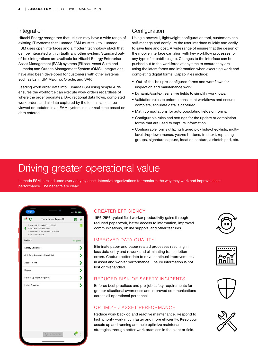#### Integration

Hitachi Energy recognizes that utilities may have a wide range of existing IT systems that Lumada FSM must talk to. Lumada FSM uses open interfaces and a modern technology stack that can be integrated with virtually any other system. Standard outof-box integrations are available for Hitachi Energy Enterprise Asset Management (EAM) systems (Ellipse, Asset Suite and Lumada) and Outage Management System (OMS). Integrations have also been developed for customers with other systems such as Esri, IBM Maximo, Oracle, and SAP.

Feeding work order data into Lumada FSM using simple APIs ensures the workforce can execute work orders regardless of where the order originates. Bi-directional data flows, completed work orders and all data captured by the technician can be viewed or updated in an EAM system in near real-time based on data entered.

#### **Configuration**

Using a powerful, lightweight configuration tool, customers can self-manage and configure the user interface quickly and easily to save time and cost. A wide range of ensure that the design of the mobile interface can align with key workflow processes for any type of capabilities job. Changes to the interface can be pushed out to the workforce at any time to ensure they are using the latest forms and information when executing work and completing digital forms. Capabilities include:

- Out-of-the-box pre-configured forms and workflows for inspection and maintenance work.
- Dynamic/context sensitive fields to simplify workflows.
- Validation rules to enforce consistent workflows and ensure complete, accurate data is captured.
- Math computations for auto populating fields on forms.
- Configurable rules and settings for the update or completion forms that are used to capture information.
- Configurable forms utilizing filtered pick lists/checklists, multilevel dropdown menus, yes/no buttons, free text, repeating groups, signature capture, location capture, a sketch pad, etc.

## Driving greater operational value

Lumada FSM is relied upon every day by asset-intensive organizations to transform the way they work and improve asset performance. The benefits are clear:

|                                   |                                                                                         | 川 全国制     |
|-----------------------------------|-----------------------------------------------------------------------------------------|-----------|
| $\equiv$ $\alpha$                 | <b>Technician Tasks (4)</b>                                                             | ₿<br>흥    |
| <b>Estimated Onsite:</b>          | Task: MRD_20210712235115<br>Task Desc: Pump Repair<br>Start Date/Time: 21-07-12 4:51 PM |           |
| <b>FORMS</b>                      |                                                                                         | *Required |
| <b>Safety Checklist</b>           | X                                                                                       |           |
| <b>Job Requirements Checklist</b> |                                                                                         | ×         |
| Assessment                        |                                                                                         | X         |
| Repair                            |                                                                                         | ><br>>    |
| <b>Follow Up Work Request</b>     |                                                                                         |           |
| <b>Labor Costing</b>              |                                                                                         | 5         |
|                                   |                                                                                         |           |
|                                   | ∞<br>COMPLETE                                                                           |           |
|                                   |                                                                                         |           |

#### GREATER EFFICIENCY

15%-25% typical field worker productivity gains through reduced paperwork, better access to information, improved communications, offline support, and other features.

#### IMPROVED DATA QUALITY

Eliminate paper and paper related processes resulting in less data entry and rework and eliminating transcription errors. Capture better data to drive continual improvements in asset and worker performance. Ensure information is not lost or mishandled.

#### REDUCED RISK OF SAFETY INCIDENTS

Enforce best practices and pre-job safety requirements for greater situational awareness and improved communications across all operational personnel.

#### OPTIMIZED ASSET PERFORMANCE

Reduce work backlog and reactive maintenance. Respond to high priority work much faster and more efficiently. Keep your assets up and running and help optimize maintenance strategies through better work practices in the plant or field.







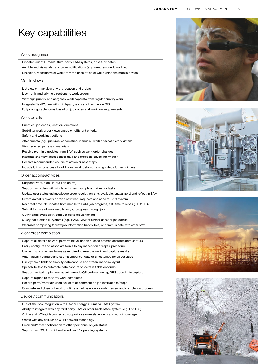## Key capabilities

#### Work assignment

Dispatch out of Lumada, third-party EAM systems, or self-dispatch Audible and visual alerts or order notifications (e.g., new, removed, modified) Unassign, reassign/refer work from the back office or while using the mobile device

#### Mobile views

List view or map view of work location and orders

Live traffic and driving directions to work orders

View high priority or emergency work separate from regular priority work

Integrate FieldWorker with third-party apps such as mobile GIS

Fully configurable forms based on job codes and workflow requirements

#### Work details

Priorities, job codes, location, directions

Sort/filter work order views based on different criteria

Safety and work instructions

Attachments (e.g., pictures, schematics, manuals), work or asset history details

View required parts and materials

Receive real-time updates from EAM such as work order changes

Integrate and view asset sensor data and probable cause information

Receive recommended course of action or next steps

Include URLs for access to additional work details, training videos for technicians

Order actions/activities

Suspend work, clock in/out (job on/off)

Support for orders with single activities, multiple activities, or tasks

Update user status (acknowledge order receipt, on-site, available, unavailable) and reflect in EAM

Create defect requests or raise new work requests and send to EAM system

Near real-time job updates from mobile to EAM (job progress, est. time to repair (ETR/ETC))

Submit forms and work results as you progress through job

Query parts availability, conduct parts requisitioning

Query back-office IT systems (e.g., EAM, GIS) for further asset or job details

Wearable computing to view job information hands-free, or communicate with other staff

Work order completion

Capture all details of work performed; validation rules to enforce accurate data capture Easily configure and associate forms to any inspection or repair procedure Use as many or as few forms as required to execute work and capture results Automatically capture and submit timesheet data or timestamps for all activities Use dynamic fields to simplify data capture and streamline form layout Speech-to-text to automate data capture on certain fields on forms Support for taking pictures, asset barcode/QR code scanning, GPS coordinate capture Capture signature to verify work completed Record parts/materials used, validate or comment on job instructions/steps Complete and close out work or utilize a multi-step work order review and completion process

#### Device / communications

Out-of-the-box integration with Hitachi Energy's Lumada EAM System Ability to integrate with any third party EAM or other back-office system (e.g. Esri GIS)

Online and offline/disconnected support - seamlessly move in and out of coverage

Works with any cellular or Wi-Fi network technology

Email and/or text notification to other personnel on job status

Support for iOS, Android and Windows 10 operating systems







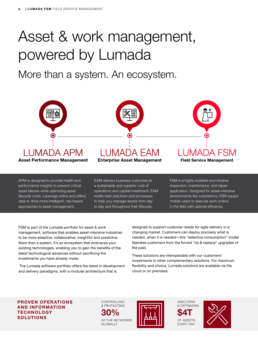## Asset & work management, powered by Lumada

More than a system. An ecosystem.



APM is designed to provide health and performance insights to prevent critical asset failures while optimizing asset lifecycle costs. Leverage online and offline data to drive more intelligent, risk-based approaches to asset management.

EAM delivers business outcomes at a sustainable and superior cost of operations and capital investment. EAM instills best practices and processes to help you manage assets from day to day and throughout their lifecycle.

FSM is a highly scalable and intuitive inspection, maintenance, and repair application. Designed for asset-intensive environments like substations, FSM equips mobile users to execute work orders in the field with optimal efficiency.

FSM is part of the Lumada portfolio for asset & work management, software that enables asset-intensive industries to be more adaptive, collaborative, insightful and predictive. More than a system, it's an ecosystem that embraces your existing technologies, enabling you to gain the benefits of the latest technological advances without sacrificing the investments you have already made.

 The Lumada software portfolio offers the latest in development and delivery paradigms, with a modular architecture that is

designed to support customer needs for agile delivery in a changing market. Customers can deploy precisely what is needed, when it is needed—this "selective consumption" model liberates customers from the forced "rip & replace" upgrades of the past.

These solutions are interoperable with our customers' investments in other complementary solutions. For maximum flexibility and choice, Lumada solutions are available via the cloud or on premises.

PROVEN OPERATIONS AND INFORMATION **TECHNOLOGY** SOLUTIONS

CONTROLLING & PROTECTING OF THE NETWORKS  $30\%$ 

GLOBALLY



ANALYZING & OPTIMIZING OF ASSETS EVERY DAY